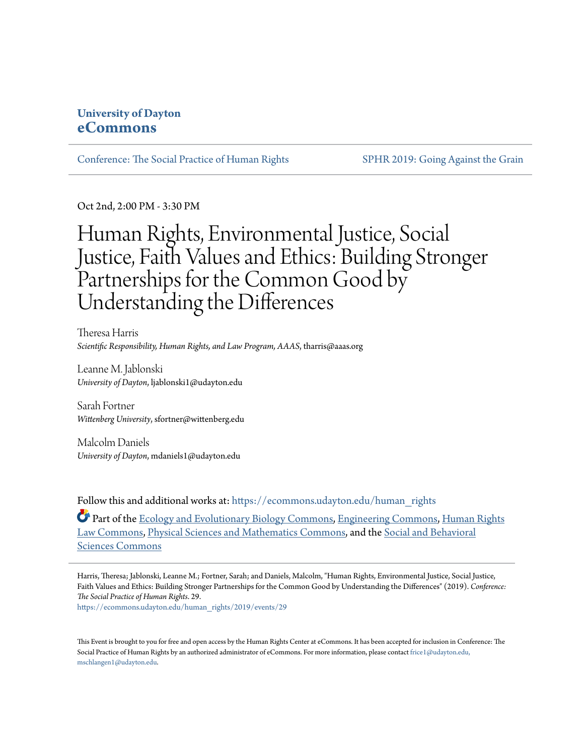## **University of Dayton [eCommons](https://ecommons.udayton.edu/?utm_source=ecommons.udayton.edu%2Fhuman_rights%2F2019%2Fevents%2F29&utm_medium=PDF&utm_campaign=PDFCoverPages)**

[Conference: The Social Practice of Human Rights](https://ecommons.udayton.edu/human_rights?utm_source=ecommons.udayton.edu%2Fhuman_rights%2F2019%2Fevents%2F29&utm_medium=PDF&utm_campaign=PDFCoverPages) [SPHR 2019: Going Against the Grain](https://ecommons.udayton.edu/human_rights/2019?utm_source=ecommons.udayton.edu%2Fhuman_rights%2F2019%2Fevents%2F29&utm_medium=PDF&utm_campaign=PDFCoverPages)

Oct 2nd, 2:00 PM - 3:30 PM

## Human Rights, Environmental Justice, Social Justice, Faith Values and Ethics: Building Stronger Partnerships for the Common Good by Understanding the Differences

Theresa Harris *Scientific Responsibility, Human Rights, and Law Program, AAAS*, tharris@aaas.org

Leanne M. Jablonski *University of Dayton*, ljablonski1@udayton.edu

Sarah Fortner *Wittenberg University*, sfortner@wittenberg.edu

Malcolm Daniels *University of Dayton*, mdaniels1@udayton.edu

Follow this and additional works at: [https://ecommons.udayton.edu/human\\_rights](https://ecommons.udayton.edu/human_rights?utm_source=ecommons.udayton.edu%2Fhuman_rights%2F2019%2Fevents%2F29&utm_medium=PDF&utm_campaign=PDFCoverPages)

Part of the [Ecology and Evolutionary Biology Commons](http://network.bepress.com/hgg/discipline/14?utm_source=ecommons.udayton.edu%2Fhuman_rights%2F2019%2Fevents%2F29&utm_medium=PDF&utm_campaign=PDFCoverPages), [Engineering Commons,](http://network.bepress.com/hgg/discipline/217?utm_source=ecommons.udayton.edu%2Fhuman_rights%2F2019%2Fevents%2F29&utm_medium=PDF&utm_campaign=PDFCoverPages) [Human Rights](http://network.bepress.com/hgg/discipline/847?utm_source=ecommons.udayton.edu%2Fhuman_rights%2F2019%2Fevents%2F29&utm_medium=PDF&utm_campaign=PDFCoverPages) [Law Commons](http://network.bepress.com/hgg/discipline/847?utm_source=ecommons.udayton.edu%2Fhuman_rights%2F2019%2Fevents%2F29&utm_medium=PDF&utm_campaign=PDFCoverPages), [Physical Sciences and Mathematics Commons](http://network.bepress.com/hgg/discipline/114?utm_source=ecommons.udayton.edu%2Fhuman_rights%2F2019%2Fevents%2F29&utm_medium=PDF&utm_campaign=PDFCoverPages), and the [Social and Behavioral](http://network.bepress.com/hgg/discipline/316?utm_source=ecommons.udayton.edu%2Fhuman_rights%2F2019%2Fevents%2F29&utm_medium=PDF&utm_campaign=PDFCoverPages) [Sciences Commons](http://network.bepress.com/hgg/discipline/316?utm_source=ecommons.udayton.edu%2Fhuman_rights%2F2019%2Fevents%2F29&utm_medium=PDF&utm_campaign=PDFCoverPages)

Harris, Theresa; Jablonski, Leanne M.; Fortner, Sarah; and Daniels, Malcolm, "Human Rights, Environmental Justice, Social Justice, Faith Values and Ethics: Building Stronger Partnerships for the Common Good by Understanding the Differences" (2019). *Conference: The Social Practice of Human Rights*. 29.

[https://ecommons.udayton.edu/human\\_rights/2019/events/29](https://ecommons.udayton.edu/human_rights/2019/events/29?utm_source=ecommons.udayton.edu%2Fhuman_rights%2F2019%2Fevents%2F29&utm_medium=PDF&utm_campaign=PDFCoverPages)

This Event is brought to you for free and open access by the Human Rights Center at eCommons. It has been accepted for inclusion in Conference: The Social Practice of Human Rights by an authorized administrator of eCommons. For more information, please contact [frice1@udayton.edu,](mailto:frice1@udayton.edu,%20mschlangen1@udayton.edu) [mschlangen1@udayton.edu.](mailto:frice1@udayton.edu,%20mschlangen1@udayton.edu)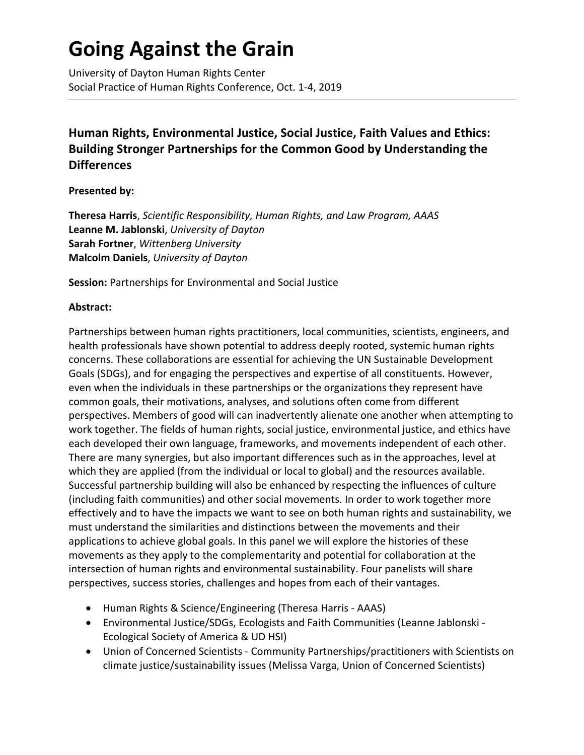# **Going Against the Grain**

University of Dayton Human Rights Center Social Practice of Human Rights Conference, Oct. 1-4, 2019

## **Human Rights, Environmental Justice, Social Justice, Faith Values and Ethics: Building Stronger Partnerships for the Common Good by Understanding the Differences**

### **Presented by:**

**Theresa Harris**, *Scientific Responsibility, Human Rights, and Law Program, AAAS* **Leanne M. Jablonski**, *University of Dayton* **Sarah Fortner**, *Wittenberg University* **Malcolm Daniels**, *University of Dayton*

**Session:** Partnerships for Environmental and Social Justice

### **Abstract:**

Partnerships between human rights practitioners, local communities, scientists, engineers, and health professionals have shown potential to address deeply rooted, systemic human rights concerns. These collaborations are essential for achieving the UN Sustainable Development Goals (SDGs), and for engaging the perspectives and expertise of all constituents. However, even when the individuals in these partnerships or the organizations they represent have common goals, their motivations, analyses, and solutions often come from different perspectives. Members of good will can inadvertently alienate one another when attempting to work together. The fields of human rights, social justice, environmental justice, and ethics have each developed their own language, frameworks, and movements independent of each other. There are many synergies, but also important differences such as in the approaches, level at which they are applied (from the individual or local to global) and the resources available. Successful partnership building will also be enhanced by respecting the influences of culture (including faith communities) and other social movements. In order to work together more effectively and to have the impacts we want to see on both human rights and sustainability, we must understand the similarities and distinctions between the movements and their applications to achieve global goals. In this panel we will explore the histories of these movements as they apply to the complementarity and potential for collaboration at the intersection of human rights and environmental sustainability. Four panelists will share perspectives, success stories, challenges and hopes from each of their vantages.

- Human Rights & Science/Engineering (Theresa Harris AAAS)
- Environmental Justice/SDGs, Ecologists and Faith Communities (Leanne Jablonski Ecological Society of America & UD HSI)
- Union of Concerned Scientists Community Partnerships/practitioners with Scientists on climate justice/sustainability issues (Melissa Varga, Union of Concerned Scientists)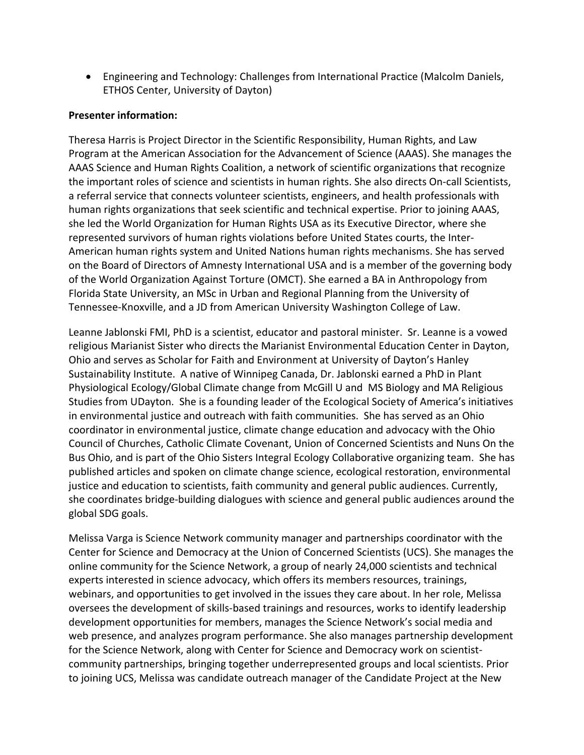• Engineering and Technology: Challenges from International Practice (Malcolm Daniels, ETHOS Center, University of Dayton)

#### **Presenter information:**

Theresa Harris is Project Director in the Scientific Responsibility, Human Rights, and Law Program at the American Association for the Advancement of Science (AAAS). She manages the AAAS Science and Human Rights Coalition, a network of scientific organizations that recognize the important roles of science and scientists in human rights. She also directs On-call Scientists, a referral service that connects volunteer scientists, engineers, and health professionals with human rights organizations that seek scientific and technical expertise. Prior to joining AAAS, she led the World Organization for Human Rights USA as its Executive Director, where she represented survivors of human rights violations before United States courts, the Inter-American human rights system and United Nations human rights mechanisms. She has served on the Board of Directors of Amnesty International USA and is a member of the governing body of the World Organization Against Torture (OMCT). She earned a BA in Anthropology from Florida State University, an MSc in Urban and Regional Planning from the University of Tennessee-Knoxville, and a JD from American University Washington College of Law.

Leanne Jablonski FMI, PhD is a scientist, educator and pastoral minister. Sr. Leanne is a vowed religious Marianist Sister who directs the Marianist Environmental Education Center in Dayton, Ohio and serves as Scholar for Faith and Environment at University of Dayton's Hanley Sustainability Institute. A native of Winnipeg Canada, Dr. Jablonski earned a PhD in Plant Physiological Ecology/Global Climate change from McGill U and MS Biology and MA Religious Studies from UDayton. She is a founding leader of the Ecological Society of America's initiatives in environmental justice and outreach with faith communities. She has served as an Ohio coordinator in environmental justice, climate change education and advocacy with the Ohio Council of Churches, Catholic Climate Covenant, Union of Concerned Scientists and Nuns On the Bus Ohio, and is part of the Ohio Sisters Integral Ecology Collaborative organizing team. She has published articles and spoken on climate change science, ecological restoration, environmental justice and education to scientists, faith community and general public audiences. Currently, she coordinates bridge-building dialogues with science and general public audiences around the global SDG goals.

Melissa Varga is Science Network community manager and partnerships coordinator with the Center for Science and Democracy at the Union of Concerned Scientists (UCS). She manages the online community for the Science Network, a group of nearly 24,000 scientists and technical experts interested in science advocacy, which offers its members resources, trainings, webinars, and opportunities to get involved in the issues they care about. In her role, Melissa oversees the development of skills-based trainings and resources, works to identify leadership development opportunities for members, manages the Science Network's social media and web presence, and analyzes program performance. She also manages partnership development for the Science Network, along with Center for Science and Democracy work on scientistcommunity partnerships, bringing together underrepresented groups and local scientists. Prior to joining UCS, Melissa was candidate outreach manager of the Candidate Project at the New